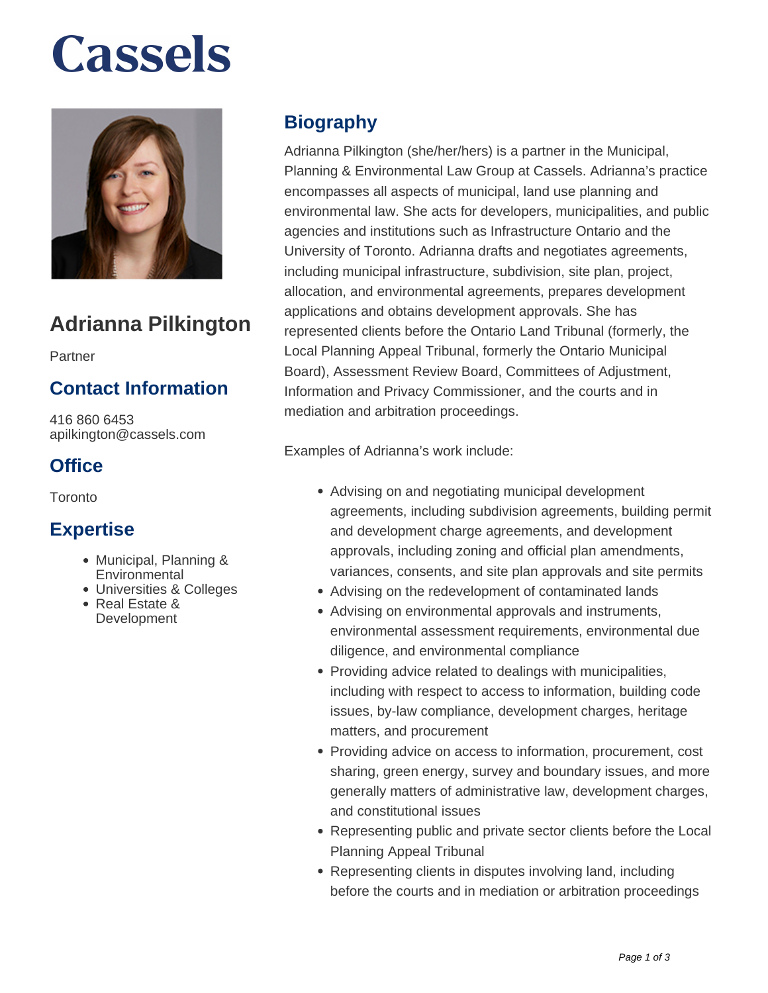# **Cassels**



## **Adrianna Pilkington**

Partner

### **Contact Information**

416 860 6453 apilkington@cassels.com

### **Office**

Toronto

#### **Expertise**

- Municipal, Planning & **Environmental**
- Universities & Colleges
- Real Estate & **Development**

### **Biography**

Adrianna Pilkington (she/her/hers) is a partner in the Municipal, Planning & Environmental Law Group at Cassels. Adrianna's practice encompasses all aspects of municipal, land use planning and environmental law. She acts for developers, municipalities, and public agencies and institutions such as Infrastructure Ontario and the University of Toronto. Adrianna drafts and negotiates agreements, including municipal infrastructure, subdivision, site plan, project, allocation, and environmental agreements, prepares development applications and obtains development approvals. She has represented clients before the Ontario Land Tribunal (formerly, the Local Planning Appeal Tribunal, formerly the Ontario Municipal Board), Assessment Review Board, Committees of Adjustment, Information and Privacy Commissioner, and the courts and in mediation and arbitration proceedings.

Examples of Adrianna's work include:

- Advising on and negotiating municipal development agreements, including subdivision agreements, building permit and development charge agreements, and development approvals, including zoning and official plan amendments, variances, consents, and site plan approvals and site permits
- Advising on the redevelopment of contaminated lands
- Advising on environmental approvals and instruments, environmental assessment requirements, environmental due diligence, and environmental compliance
- Providing advice related to dealings with municipalities, including with respect to access to information, building code issues, by-law compliance, development charges, heritage matters, and procurement
- Providing advice on access to information, procurement, cost sharing, green energy, survey and boundary issues, and more generally matters of administrative law, development charges, and constitutional issues
- Representing public and private sector clients before the Local Planning Appeal Tribunal
- Representing clients in disputes involving land, including before the courts and in mediation or arbitration proceedings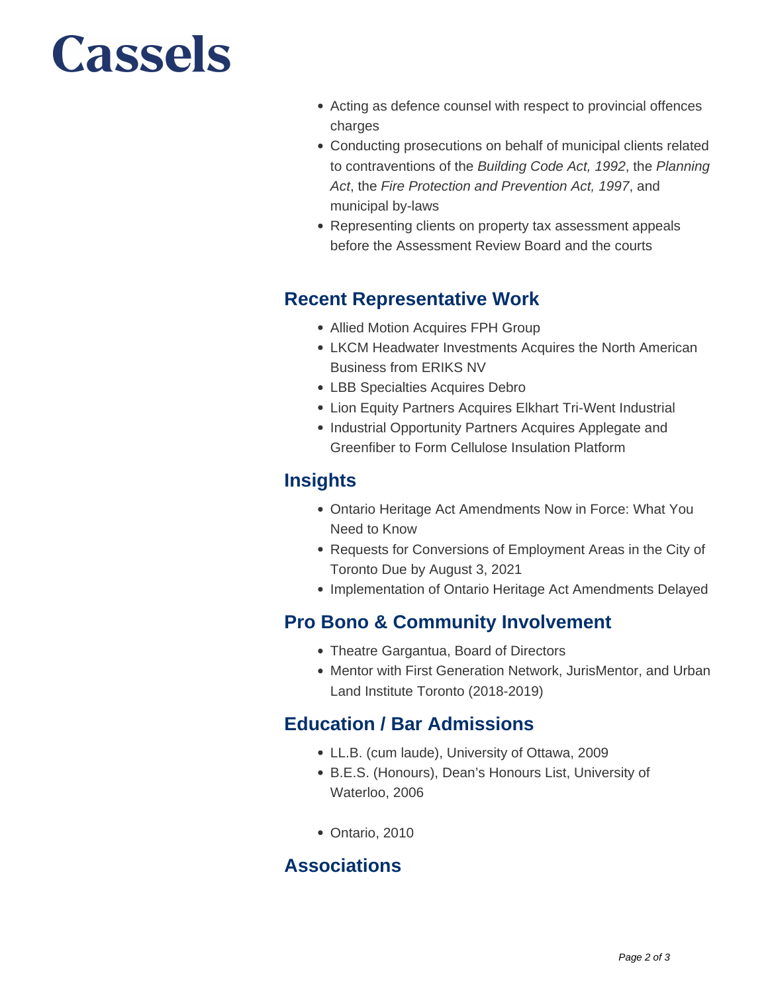# Cassels

- Acting as defence counsel with respect to provincial offences charges
- Conducting prosecutions on behalf of municipal clients related to contraventions of the Building Code Act, 1992, the Planning Act, the Fire Protection and Prevention Act, 1997, and municipal by-laws
- Representing clients on property tax assessment appeals before the Assessment Review Board and the courts

#### **Recent Representative Work**

- Allied Motion Acquires FPH Group
- LKCM Headwater Investments Acquires the North American Business from ERIKS NV
- LBB Specialties Acquires Debro
- Lion Equity Partners Acquires Elkhart Tri-Went Industrial
- Industrial Opportunity Partners Acquires Applegate and Greenfiber to Form Cellulose Insulation Platform

#### **Insights**

- Ontario Heritage Act Amendments Now in Force: What You Need to Know
- Requests for Conversions of Employment Areas in the City of Toronto Due by August 3, 2021
- Implementation of Ontario Heritage Act Amendments Delayed

#### **Pro Bono & Community Involvement**

- Theatre Gargantua, Board of Directors
- Mentor with First Generation Network, JurisMentor, and Urban Land Institute Toronto (2018-2019)

#### **Education / Bar Admissions**

- LL.B. (cum laude), University of Ottawa, 2009
- B.E.S. (Honours), Dean's Honours List, University of Waterloo, 2006
- Ontario, 2010

#### **Associations**